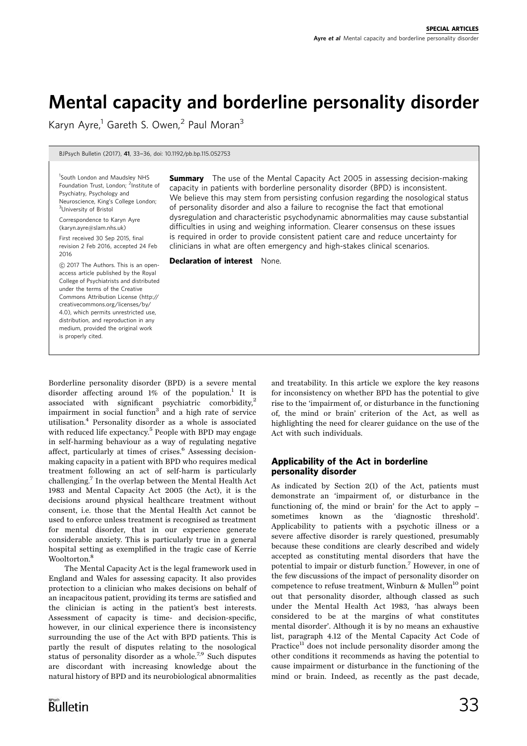# Mental capacity and borderline personality disorder

Karyn Ayre,<sup>1</sup> Gareth S. Owen,<sup>2</sup> Paul Moran<sup>3</sup>

BJPsych Bulletin (2017), <sup>41</sup>, 33-36, doi: 10.1192/pb.bp.115.052753

<sup>1</sup>South London and Maudsley NHS Foundation Trust, London; <sup>2</sup>Institute of Psychiatry, Psychology and Neuroscience, King's College London; <sup>3</sup>University of Bristol

Correspondence to Karyn Ayre (karyn.ayre@slam.nhs.uk)

First received 30 Sep 2015, final revision 2 Feb 2016, accepted 24 Feb 2016

*B* 2017 The Authors. This is an openaccess article published by the Royal College of Psychiatrists and distributed under the terms of the Creative Commons Attribution License (http:// creativecommons.org/licenses/by/ 4.0), which permits unrestricted use, distribution, and reproduction in any medium, provided the original work is properly cited.

**Summary** The use of the Mental Capacity Act 2005 in assessing decision-making capacity in patients with borderline personality disorder (BPD) is inconsistent. We believe this may stem from persisting confusion regarding the nosological status of personality disorder and also a failure to recognise the fact that emotional dysregulation and characteristic psychodynamic abnormalities may cause substantial difficulties in using and weighing information. Clearer consensus on these issues is required in order to provide consistent patient care and reduce uncertainty for clinicians in what are often emergency and high-stakes clinical scenarios.

Declaration of interest None.

Borderline personality disorder (BPD) is a severe mental disorder affecting around  $1\%$  of the population.<sup>1</sup> It is associated with significant psychiatric comorbidity, $2$ impairment in social function<sup>3</sup> and a high rate of service utilisation.4 Personality disorder as a whole is associated with reduced life expectancy.<sup>5</sup> People with BPD may engage in self-harming behaviour as a way of regulating negative affect, particularly at times of crises.<sup>6</sup> Assessing decisionmaking capacity in a patient with BPD who requires medical treatment following an act of self-harm is particularly challenging.<sup>7</sup> In the overlap between the Mental Health Act 1983 and Mental Capacity Act 2005 (the Act), it is the decisions around physical healthcare treatment without consent, i.e. those that the Mental Health Act cannot be used to enforce unless treatment is recognised as treatment for mental disorder, that in our experience generate considerable anxiety. This is particularly true in a general hospital setting as exemplified in the tragic case of Kerrie Wooltorton.<sup>8</sup>

The Mental Capacity Act is the legal framework used in England and Wales for assessing capacity. It also provides protection to a clinician who makes decisions on behalf of an incapacitous patient, providing its terms are satisfied and the clinician is acting in the patient's best interests. Assessment of capacity is time- and decision-specific, however, in our clinical experience there is inconsistency surrounding the use of the Act with BPD patients. This is partly the result of disputes relating to the nosological status of personality disorder as a whole.<sup>7,9</sup> Such disputes are discordant with increasing knowledge about the natural history of BPD and its neurobiological abnormalities

and treatability. In this article we explore the key reasons for inconsistency on whether BPD has the potential to give rise to the 'impairment of, or disturbance in the functioning of, the mind or brain' criterion of the Act, as well as highlighting the need for clearer guidance on the use of the Act with such individuals.

## Applicability of the Act in borderline personality disorder

As indicated by Section 2(1) of the Act, patients must demonstrate an 'impairment of, or disturbance in the functioning of, the mind or brain' for the Act to apply sometimes known as the 'diagnostic threshold'. Applicability to patients with a psychotic illness or a severe affective disorder is rarely questioned, presumably because these conditions are clearly described and widely accepted as constituting mental disorders that have the potential to impair or disturb function.<sup>7</sup> However, in one of the few discussions of the impact of personality disorder on competence to refuse treatment, Winburn & Mullen<sup>10</sup> point out that personality disorder, although classed as such under the Mental Health Act 1983, 'has always been considered to be at the margins of what constitutes mental disorder'. Although it is by no means an exhaustive list, paragraph 4.12 of the Mental Capacity Act Code of Practice<sup>11</sup> does not include personality disorder among the other conditions it recommends as having the potential to cause impairment or disturbance in the functioning of the mind or brain. Indeed, as recently as the past decade,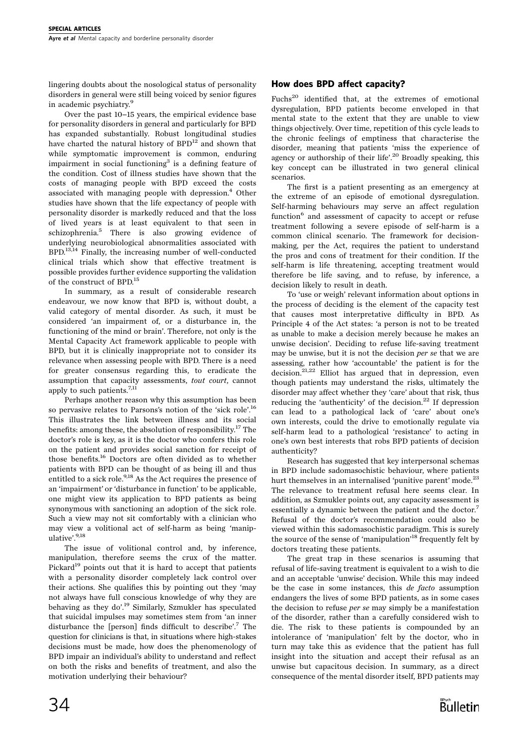lingering doubts about the nosological status of personality disorders in general were still being voiced by senior figures in academic psychiatry.<sup>9</sup>

Over the past 10-15 years, the empirical evidence base for personality disorders in general and particularly for BPD has expanded substantially. Robust longitudinal studies have charted the natural history of BPD<sup>12</sup> and shown that while symptomatic improvement is common, enduring impairment in social functioning<sup>3</sup> is a defining feature of the condition. Cost of illness studies have shown that the costs of managing people with BPD exceed the costs associated with managing people with depression.<sup>4</sup> Other studies have shown that the life expectancy of people with personality disorder is markedly reduced and that the loss of lived years is at least equivalent to that seen in schizophrenia.5 There is also growing evidence of underlying neurobiological abnormalities associated with BPD.13,14 Finally, the increasing number of well-conducted clinical trials which show that effective treatment is possible provides further evidence supporting the validation of the construct of BPD.15

In summary, as a result of considerable research endeavour, we now know that BPD is, without doubt, a valid category of mental disorder. As such, it must be considered 'an impairment of, or a disturbance in, the functioning of the mind or brain'. Therefore, not only is the Mental Capacity Act framework applicable to people with BPD, but it is clinically inappropriate not to consider its relevance when assessing people with BPD. There is a need for greater consensus regarding this, to eradicate the assumption that capacity assessments, tout court, cannot apply to such patients.<sup>7,11</sup>

Perhaps another reason why this assumption has been so pervasive relates to Parsons's notion of the 'sick role'.<sup>16</sup> This illustrates the link between illness and its social benefits: among these, the absolution of responsibility.<sup>17</sup> The doctor's role is key, as it is the doctor who confers this role on the patient and provides social sanction for receipt of those benefits.<sup>16</sup> Doctors are often divided as to whether patients with BPD can be thought of as being ill and thus entitled to a sick role.<sup>9,18</sup> As the Act requires the presence of an 'impairment' or 'disturbance in function' to be applicable, one might view its application to BPD patients as being synonymous with sanctioning an adoption of the sick role. Such a view may not sit comfortably with a clinician who may view a volitional act of self-harm as being 'manipulative'.9,18

The issue of volitional control and, by inference, manipulation, therefore seems the crux of the matter. Pickard<sup>19</sup> points out that it is hard to accept that patients with a personality disorder completely lack control over their actions. She qualifies this by pointing out they 'may not always have full conscious knowledge of why they are behaving as they do'.<sup>19</sup> Similarly, Szmukler has speculated that suicidal impulses may sometimes stem from 'an inner disturbance the [person] finds difficult to describe'.<sup>7</sup> The question for clinicians is that, in situations where high-stakes decisions must be made, how does the phenomenology of BPD impair an individual's ability to understand and reflect on both the risks and benefits of treatment, and also the motivation underlying their behaviour?

# How does BPD affect capacity?

Fuchs<sup>20</sup> identified that, at the extremes of emotional dysregulation, BPD patients become enveloped in that mental state to the extent that they are unable to view things objectively. Over time, repetition of this cycle leads to the chronic feelings of emptiness that characterise the disorder, meaning that patients 'miss the experience of agency or authorship of their life'.<sup>20</sup> Broadly speaking, this key concept can be illustrated in two general clinical scenarios.

The first is a patient presenting as an emergency at the extreme of an episode of emotional dysregulation. Self-harming behaviours may serve an affect regulation function $6$  and assessment of capacity to accept or refuse treatment following a severe episode of self-harm is a common clinical scenario. The framework for decisionmaking, per the Act, requires the patient to understand the pros and cons of treatment for their condition. If the self-harm is life threatening, accepting treatment would therefore be life saving, and to refuse, by inference, a decision likely to result in death.

To 'use or weigh' relevant information about options in the process of deciding is the element of the capacity test that causes most interpretative difficulty in BPD. As Principle 4 of the Act states: 'a person is not to be treated as unable to make a decision merely because he makes an unwise decision'. Deciding to refuse life-saving treatment may be unwise, but it is not the decision per se that we are assessing, rather how 'accountable' the patient is for the decision.<sup>21,22</sup> Elliot has argued that in depression, even though patients may understand the risks, ultimately the disorder may affect whether they 'care' about that risk, thus reducing the 'authenticity' of the decision.<sup>22</sup> If depression can lead to a pathological lack of 'care' about one's own interests, could the drive to emotionally regulate via self-harm lead to a pathological 'resistance' to acting in one's own best interests that robs BPD patients of decision authenticity?

Research has suggested that key interpersonal schemas in BPD include sadomasochistic behaviour, where patients hurt themselves in an internalised 'punitive parent' mode.<sup>23</sup> The relevance to treatment refusal here seems clear. In addition, as Szmukler points out, any capacity assessment is essentially a dynamic between the patient and the doctor.<sup>7</sup> Refusal of the doctor's recommendation could also be viewed within this sadomasochistic paradigm. This is surely the source of the sense of 'manipulation'<sup>18</sup> frequently felt by doctors treating these patients.

The great trap in these scenarios is assuming that refusal of life-saving treatment is equivalent to a wish to die and an acceptable 'unwise' decision. While this may indeed be the case in some instances, this de facto assumption endangers the lives of some BPD patients, as in some cases the decision to refuse per se may simply be a manifestation of the disorder, rather than a carefully considered wish to die. The risk to these patients is compounded by an intolerance of 'manipulation' felt by the doctor, who in turn may take this as evidence that the patient has full insight into the situation and accept their refusal as an unwise but capacitous decision. In summary, as a direct consequence of the mental disorder itself, BPD patients may

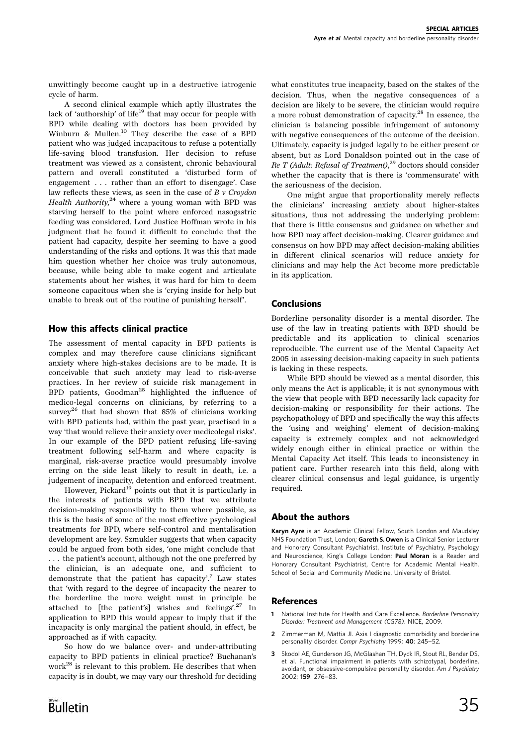unwittingly become caught up in a destructive iatrogenic cycle of harm.

A second clinical example which aptly illustrates the lack of 'authorship' of life $19$ <sup>that</sup> may occur for people with BPD while dealing with doctors has been provided by Winburn & Mullen.<sup>10</sup> They describe the case of a BPD patient who was judged incapacitous to refuse a potentially life-saving blood transfusion. Her decision to refuse treatment was viewed as a consistent, chronic behavioural pattern and overall constituted a 'disturbed form of engagement . . . rather than an effort to disengage'. Case law reflects these views, as seen in the case of  $B$  v Croydon Health Authority,<sup>24</sup> where a young woman with BPD was starving herself to the point where enforced nasogastric feeding was considered. Lord Justice Hoffman wrote in his judgment that he found it difficult to conclude that the patient had capacity, despite her seeming to have a good understanding of the risks and options. It was this that made him question whether her choice was truly autonomous, because, while being able to make cogent and articulate statements about her wishes, it was hard for him to deem someone capacitous when she is 'crying inside for help but unable to break out of the routine of punishing herself'.

## How this affects clinical practice

The assessment of mental capacity in BPD patients is complex and may therefore cause clinicians significant anxiety where high-stakes decisions are to be made. It is conceivable that such anxiety may lead to risk-averse practices. In her review of suicide risk management in  $BPD$  patients, Goodman<sup>25</sup> highlighted the influence of medico-legal concerns on clinicians, by referring to a survey26 that had shown that 85% of clinicians working with BPD patients had, within the past year, practised in a way 'that would relieve their anxiety over medicolegal risks'. In our example of the BPD patient refusing life-saving treatment following self-harm and where capacity is marginal, risk-averse practice would presumably involve erring on the side least likely to result in death, i.e. a judgement of incapacity, detention and enforced treatment.

However, Pickard<sup>19</sup> points out that it is particularly in the interests of patients with BPD that we attribute decision-making responsibility to them where possible, as this is the basis of some of the most effective psychological treatments for BPD, where self-control and mentalisation development are key. Szmukler suggests that when capacity could be argued from both sides, 'one might conclude that . . . the patient's account, although not the one preferred by the clinician, is an adequate one, and sufficient to demonstrate that the patient has capacity'.<sup>7</sup> Law states that 'with regard to the degree of incapacity the nearer to the borderline the more weight must in principle be attached to [the patient's] wishes and feelings'. $27$  In application to BPD this would appear to imply that if the incapacity is only marginal the patient should, in effect, be approached as if with capacity.

So how do we balance over- and under-attributing capacity to BPD patients in clinical practice? Buchanan's work<sup>28</sup> is relevant to this problem. He describes that when capacity is in doubt, we may vary our threshold for deciding what constitutes true incapacity, based on the stakes of the decision. Thus, when the negative consequences of a decision are likely to be severe, the clinician would require a more robust demonstration of capacity.<sup>28</sup> In essence, the clinician is balancing possible infringement of autonomy with negative consequences of the outcome of the decision. Ultimately, capacity is judged legally to be either present or absent, but as Lord Donaldson pointed out in the case of Re T (Adult: Refusal of Treatment),<sup>29</sup> doctors should consider whether the capacity that is there is 'commensurate' with the seriousness of the decision.

One might argue that proportionality merely reflects the clinicians' increasing anxiety about higher-stakes situations, thus not addressing the underlying problem: that there is little consensus and guidance on whether and how BPD may affect decision-making. Clearer guidance and consensus on how BPD may affect decision-making abilities in different clinical scenarios will reduce anxiety for clinicians and may help the Act become more predictable in its application.

## **Conclusions**

Borderline personality disorder is a mental disorder. The use of the law in treating patients with BPD should be predictable and its application to clinical scenarios reproducible. The current use of the Mental Capacity Act 2005 in assessing decision-making capacity in such patients is lacking in these respects.

While BPD should be viewed as a mental disorder, this only means the Act is applicable; it is not synonymous with the view that people with BPD necessarily lack capacity for decision-making or responsibility for their actions. The psychopathology of BPD and specifically the way this affects the 'using and weighing' element of decision-making capacity is extremely complex and not acknowledged widely enough either in clinical practice or within the Mental Capacity Act itself. This leads to inconsistency in patient care. Further research into this field, along with clearer clinical consensus and legal guidance, is urgently required.

## About the authors

Karyn Ayre is an Academic Clinical Fellow, South London and Maudsley NHS Foundation Trust, London; Gareth S. Owen is a Clinical Senior Lecturer and Honorary Consultant Psychiatrist, Institute of Psychiatry, Psychology and Neuroscience, King's College London; Paul Moran is a Reader and Honorary Consultant Psychiatrist, Centre for Academic Mental Health, School of Social and Community Medicine, University of Bristol.

## References

- 1 National Institute for Health and Care Excellence. Borderline Personality Disorder: Treatment and Management (CG78). NICE, 2009.
- 2 Zimmerman M, Mattia Jl. Axis I diagnostic comorbidity and borderline personality disorder. Compr Psychiatry 1999; <sup>40</sup>: 245-52.
- 3 Skodol AE, Gunderson JG, McGlashan TH, Dyck IR, Stout RL, Bender DS, et al. Functional impairment in patients with schizotypal, borderline, avoidant, or obsessive-compulsive personality disorder. Am J Psychiatry 2002; <sup>159</sup>: 276-83.